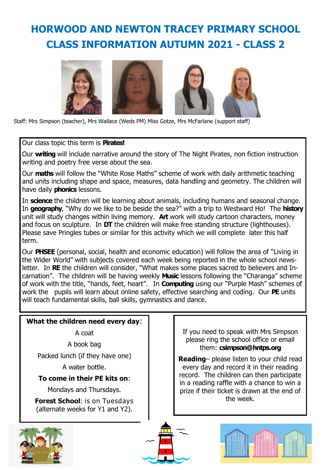## **HORWOOD AND NEWTON TRACEY PRIMARY SCHOOL CLASS INFORMATION AUTUMN 2021 - CLASS 2**



Staff: Mrs Simpson (teacher), Mrs Wallace (Weds PM) Miss Gotze, Mrs McFarlane (support staff)

Our class topic this term is **Pirates!**

Our **writing** will include narrative around the story of The Night Pirates, non fiction instruction writing and poetry free verse about the sea.

Our **maths** will follow the "White Rose Maths" scheme of work with daily arithmetic teaching and units including shape and space, measures, data handling and geometry. The children will have daily **phonics** lessons.

In **science** the children will be learning about animals, including humans and seasonal change. In **geography**, "Why do we like to be beside the sea?" with a trip to Westward Ho! The **history** unit will study changes within living memory. **Art** work will study cartoon characters, money and focus on sculpture. In **DT** the children will make free standing structure (lighthouses). Please save Pringles tubes or similar for this activity which we will complete later this half term.

Our **PHSEE** (personal, social, health and economic education) will follow the area of "Living in the Wider World" with subjects covered each week being reported in the whole school newsletter. In **RE** the children will consider, "What makes some places sacred to believers and Incarnation". The children will be having weekly **Music** lessons following the "Charanga" scheme of work with the title, "hands, feet, heart". In **Computing** using our "Purple Mash" schemes of work the pupils will learn about online safety, effective searching and coding. Our **PE** units will teach fundamental skills, ball skills, gymnastics and dance.

## **What the children need every day**:

A coat

A book bag

Packed lunch (if they have one)

A water bottle.

## **To come in their PE kits on**:

Mondays and Thursdays.

**Forest School**: is on Tuesdays (alternate weeks for Y1 and Y2).



If you need to speak with Mrs Simpson please ring the school office or email them: **csimpson@hntps.org** 

**Reading**– please listen to your child read every day and record it in their reading record. The children can then participate in a reading raffle with a chance to win a prize if their ticket is drawn at the end of the week.